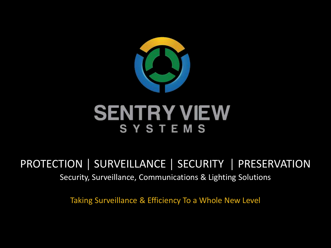

#### **SENTRY VIEW** SYSTEMS

#### PROTECTION │ SURVEILLANCE │ SECURITY │ PRESERVATION Security, Surveillance, Communications & Lighting Solutions

Taking Surveillance & Efficiency To a Whole New Level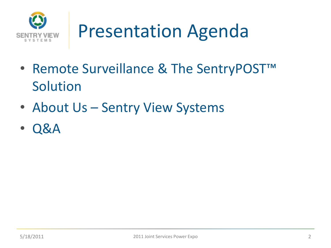

# Presentation Agenda

- Remote Surveillance & The SentryPOST™ Solution
- About Us Sentry View Systems
- Q&A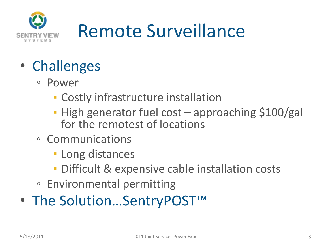

# Remote Surveillance

- Challenges
	- Power
		- **EXECOSTLY infrastructure installation**
		- **High generator fuel cost approaching \$100/gal** for the remotest of locations
	- Communications
		- **E** Long distances
		- **Difficult & expensive cable installation costs**
	- Environmental permitting
- The Solution…SentryPOST™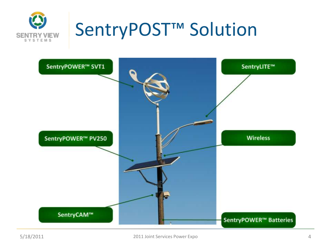

### SentryPOST™ Solution

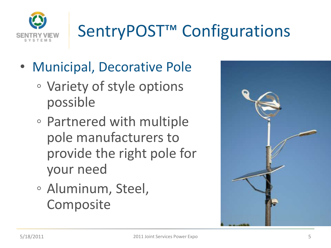

- Municipal, Decorative Pole
	- Variety of style options possible
	- Partnered with multiple pole manufacturers to provide the right pole for your need
	- Aluminum, Steel, Composite

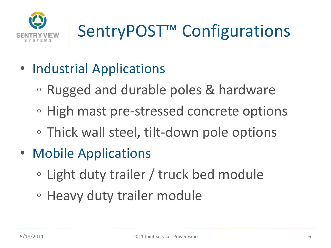

- Industrial Applications
	- Rugged and durable poles & hardware
	- High mast pre-stressed concrete options
	- Thick wall steel, tilt-down pole options
- Mobile Applications
	- Light duty trailer / truck bed module
	- Heavy duty trailer module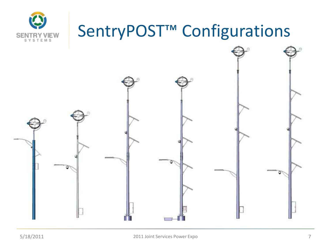



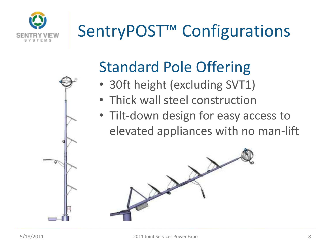



#### Standard Pole Offering

- 30ft height (excluding SVT1)
- Thick wall steel construction
- Tilt-down design for easy access to elevated appliances with no man-lift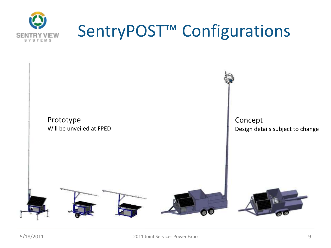

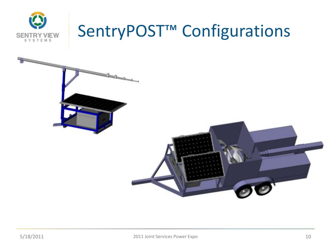

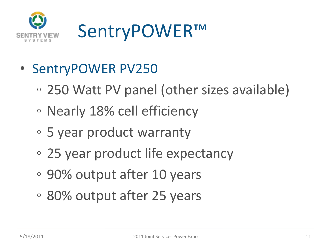

- SentryPOWER PV250
	- 250 Watt PV panel (other sizes available)
	- Nearly 18% cell efficiency
	- 5 year product warranty
	- 25 year product life expectancy
	- 90% output after 10 years
	- 80% output after 25 years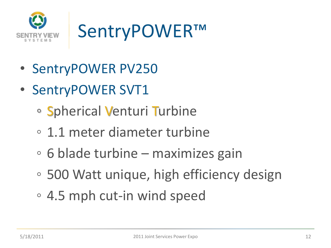

- SentryPOWER PV250
- SentryPOWER SVT1
	- Spherical Venturi Turbine
	- 1.1 meter diameter turbine
	- 6 blade turbine maximizes gain
	- 500 Watt unique, high efficiency design
	- 4.5 mph cut-in wind speed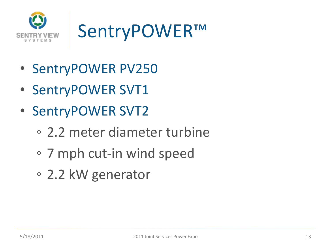

- SentryPOWER PV250
- SentryPOWER SVT1
- SentryPOWER SVT2
	- 2.2 meter diameter turbine
	- 7 mph cut-in wind speed
	- 2.2 kW generator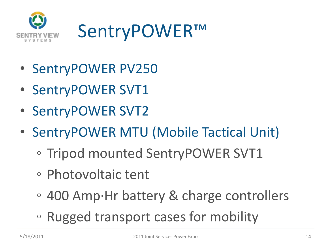

- SentryPOWER PV250
- SentryPOWER SVT1
- SentryPOWER SVT2
- SentryPOWER MTU (Mobile Tactical Unit)
	- Tripod mounted SentryPOWER SVT1
	- Photovoltaic tent
	- 400 Amp·Hr battery & charge controllers
	- Rugged transport cases for mobility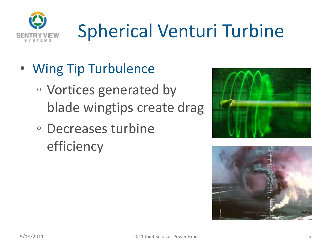

# Spherical Venturi Turbine

- Wing Tip Turbulence
	- Vortices generated by blade wingtips create drag
	- Decreases turbine efficiency



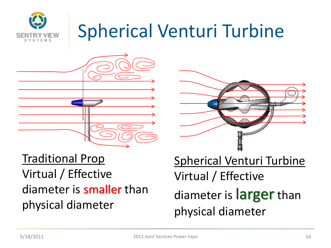# Spherical Venturi Turbine



Traditional Prop Virtual / Effective diameter is **smaller** than physical diameter



Spherical Venturi Turbine Virtual / Effective diameter is **larger** than physical diameter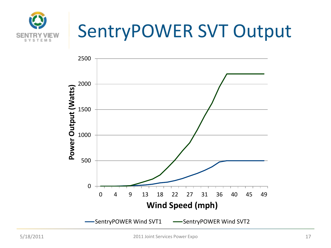

### SentryPOWER SVT Output

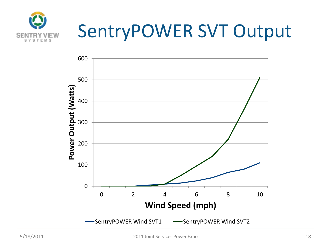

# SentryPOWER SVT Output

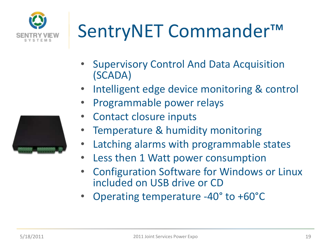

# SentryNET Commander™

- Supervisory Control And Data Acquisition (SCADA)
- Intelligent edge device monitoring & control
- Programmable power relays
- Contact closure inputs
- Temperature & humidity monitoring
- Latching alarms with programmable states
- Less then 1 Watt power consumption
- Configuration Software for Windows or Linux included on USB drive or CD
- Operating temperature -40° to +60°C

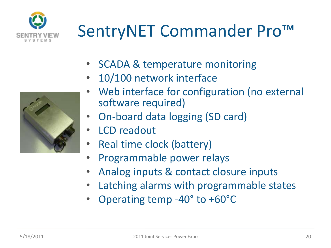

#### SentryNET Commander Pro™

- SCADA & temperature monitoring
- 10/100 network interface
- Web interface for configuration (no external software required)
- On-board data logging (SD card)
- **LCD readout**
- Real time clock (battery)
- Programmable power relays
- Analog inputs & contact closure inputs
- Latching alarms with programmable states
- Operating temp -40° to +60°C

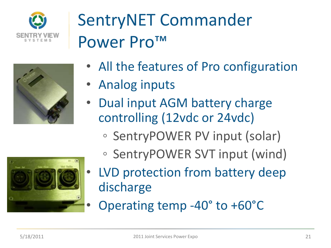



# SentryNET Commander Power Pro™

- All the features of Pro configuration
- Analog inputs
- Dual input AGM battery charge controlling (12vdc or 24vdc)
	- SentryPOWER PV input (solar)
	- SentryPOWER SVT input (wind)
	- LVD protection from battery deep discharge
	- Operating temp -40° to +60°C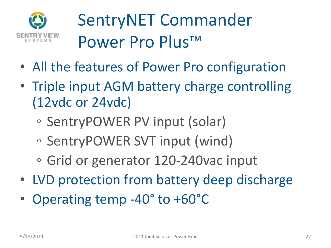

### SentryNET Commander Power Pro Plus™

- All the features of Power Pro configuration
- Triple input AGM battery charge controlling (12vdc or 24vdc)
	- SentryPOWER PV input (solar)
	- SentryPOWER SVT input (wind)
	- Grid or generator 120-240vac input
- LVD protection from battery deep discharge
- Operating temp -40° to +60°C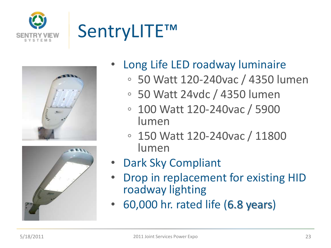

### SentryLITE™

| -<br>۰<br>۰ |
|-------------|
| ۹           |
|             |



- Long Life LED roadway luminaire
	- 50 Watt 120-240vac / 4350 lumen
	- 50 Watt 24vdc / 4350 lumen
	- 100 Watt 120-240vac / 5900 lumen
	- 150 Watt 120-240vac / 11800 lumen
- Dark Sky Compliant
- Drop in replacement for existing HID roadway lighting
- 60,000 hr. rated life (6.8 years)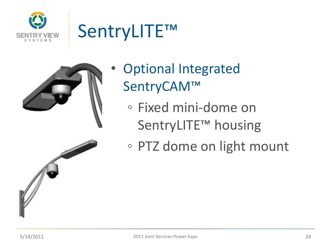

### SentryLITE™



- Optional Integrated SentryCAM™
	- Fixed mini-dome on SentryLITE™ housing
	- PTZ dome on light mount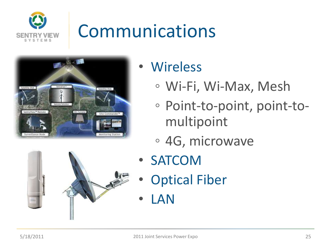

### Communications





- Wi-Fi, Wi-Max, Mesh
- Point-to-point, point-tomultipoint
- 4G, microwave
- SATCOM
- **Optical Fiber** 
	- LAN

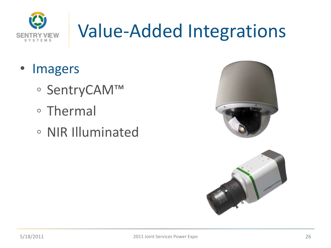

- Imagers
	- SentryCAM™
	- Thermal
	- NIR Illuminated



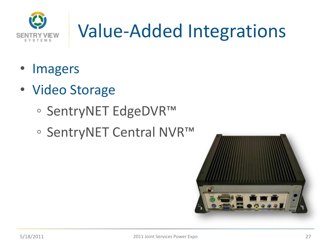

- **Imagers**
- Video Storage
	- SentryNET EdgeDVR™
	- SentryNET Central NVR™

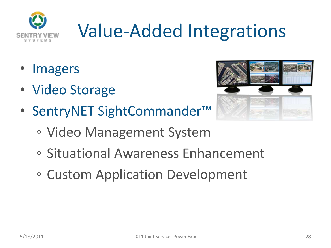

- **Imagers**
- Video Storage
- SentryNET SightCommander™



- Video Management System
- Situational Awareness Enhancement
- Custom Application Development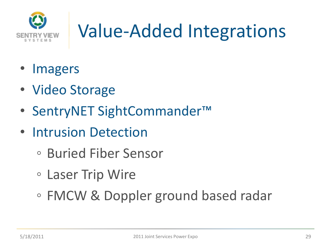

- **Imagers**
- Video Storage
- SentryNET SightCommander™
- Intrusion Detection
	- Buried Fiber Sensor
	- Laser Trip Wire
	- FMCW & Doppler ground based radar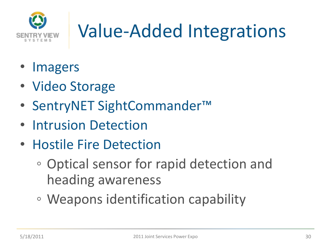

- **Imagers**
- Video Storage
- SentryNET SightCommander™
- Intrusion Detection
- Hostile Fire Detection
	- Optical sensor for rapid detection and heading awareness
	- Weapons identification capability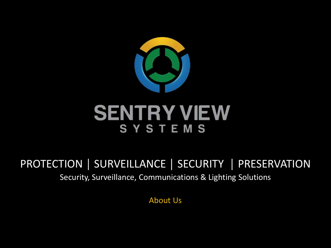

#### **SENTRY VIEW** SYSTEMS

#### PROTECTION │ SURVEILLANCE │ SECURITY │ PRESERVATION Security, Surveillance, Communications & Lighting Solutions

About Us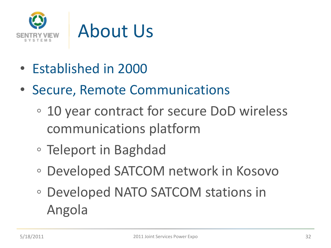

About Us

- Established in 2000
- Secure, Remote Communications
	- 10 year contract for secure DoD wireless communications platform
	- Teleport in Baghdad
	- Developed SATCOM network in Kosovo
	- Developed NATO SATCOM stations in Angola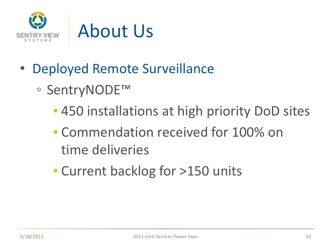



- Deployed Remote Surveillance
	- SentryNODE™
		- **.** 450 installations at high priority DoD sites
		- Commendation received for 100% on time deliveries
		- **Current backlog for >150 units**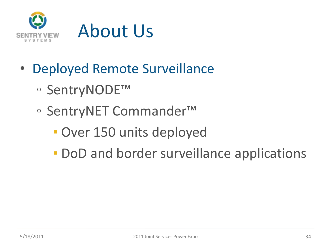



- Deployed Remote Surveillance
	- SentryNODE™
	- SentryNET Commander™
		- **Over 150 units deployed**
		- **DoD and border surveillance applications**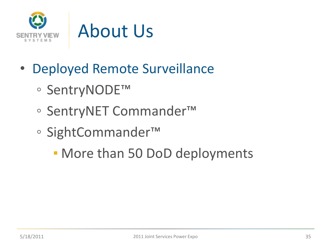



- Deployed Remote Surveillance
	- SentryNODE™
	- SentryNET Commander™
	- SightCommander™
		- More than 50 DoD deployments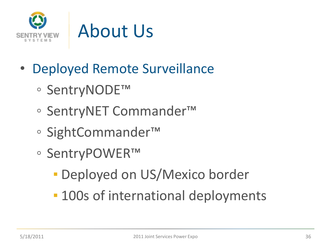



- Deployed Remote Surveillance
	- SentryNODE™
	- SentryNET Commander™
	- SightCommander™
	- SentryPOWER™
		- **Deployed on US/Mexico border**
		- **100s of international deployments**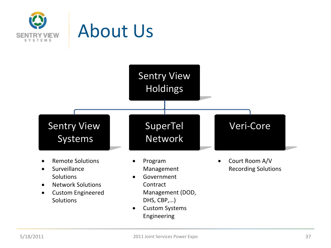



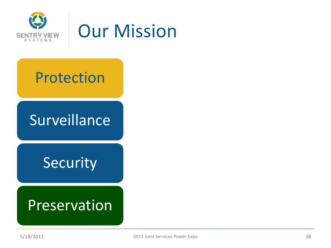

#### Our Mission

#### **Protection**

#### Surveillance

#### **Security**

#### Preservation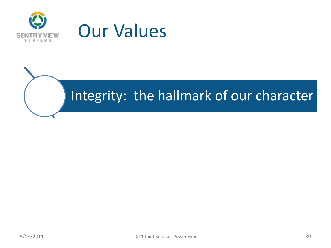



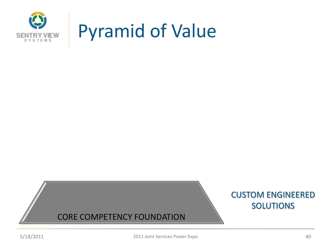

#### Pyramid of Value

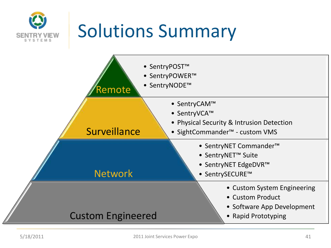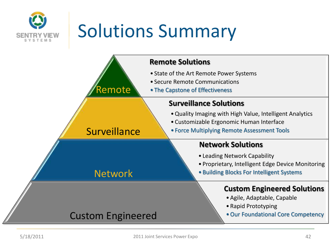

# Solutions Summary